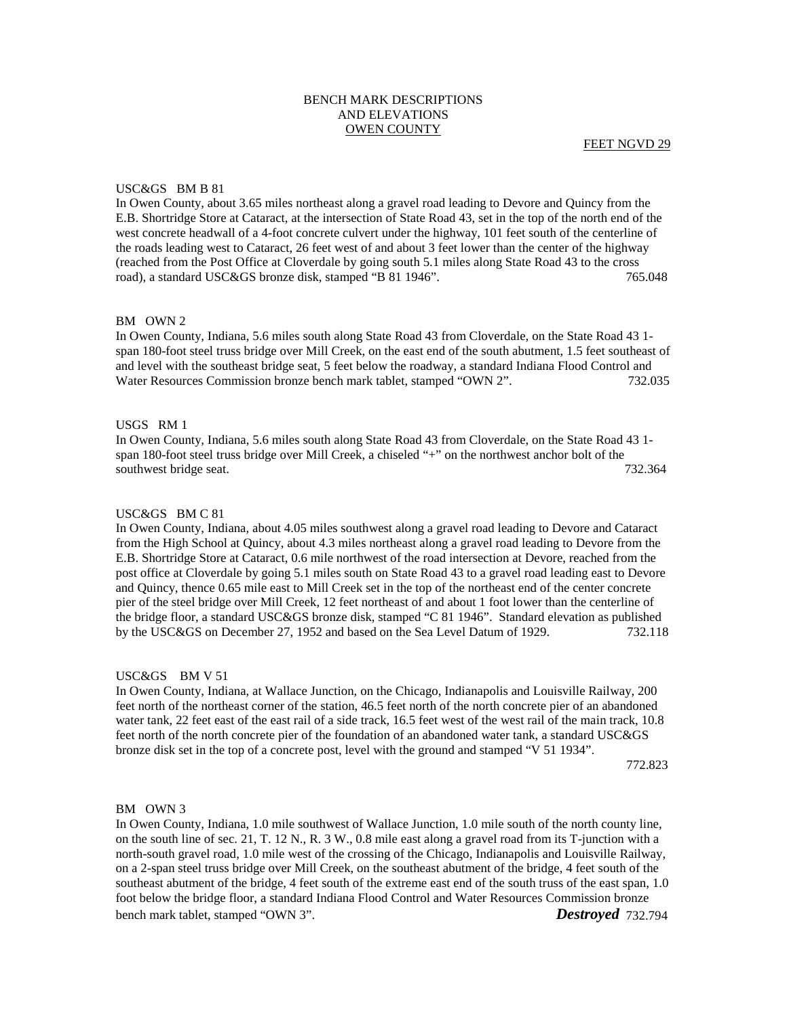# BENCH MARK DESCRIPTIONS AND ELEVATIONS OWEN COUNTY

### USC&GS BM B 81

In Owen County, about 3.65 miles northeast along a gravel road leading to Devore and Quincy from the E.B. Shortridge Store at Cataract, at the intersection of State Road 43, set in the top of the north end of the west concrete headwall of a 4-foot concrete culvert under the highway, 101 feet south of the centerline of the roads leading west to Cataract, 26 feet west of and about 3 feet lower than the center of the highway (reached from the Post Office at Cloverdale by going south 5.1 miles along State Road 43 to the cross road), a standard USC&GS bronze disk, stamped "B 81 1946". 765.048

# BM OWN 2

In Owen County, Indiana, 5.6 miles south along State Road 43 from Cloverdale, on the State Road 43 1 span 180-foot steel truss bridge over Mill Creek, on the east end of the south abutment, 1.5 feet southeast of and level with the southeast bridge seat, 5 feet below the roadway, a standard Indiana Flood Control and Water Resources Commission bronze bench mark tablet, stamped "OWN 2". 732.035

# USGS RM 1

In Owen County, Indiana, 5.6 miles south along State Road 43 from Cloverdale, on the State Road 43 1 span 180-foot steel truss bridge over Mill Creek, a chiseled "+" on the northwest anchor bolt of the southwest bridge seat. 732.364

### USC&GS BM C 81

In Owen County, Indiana, about 4.05 miles southwest along a gravel road leading to Devore and Cataract from the High School at Quincy, about 4.3 miles northeast along a gravel road leading to Devore from the E.B. Shortridge Store at Cataract, 0.6 mile northwest of the road intersection at Devore, reached from the post office at Cloverdale by going 5.1 miles south on State Road 43 to a gravel road leading east to Devore and Quincy, thence 0.65 mile east to Mill Creek set in the top of the northeast end of the center concrete pier of the steel bridge over Mill Creek, 12 feet northeast of and about 1 foot lower than the centerline of the bridge floor, a standard USC&GS bronze disk, stamped "C 81 1946". Standard elevation as published by the USC&GS on December 27, 1952 and based on the Sea Level Datum of 1929. 732.118

#### USC&GS BM V 51

In Owen County, Indiana, at Wallace Junction, on the Chicago, Indianapolis and Louisville Railway, 200 feet north of the northeast corner of the station, 46.5 feet north of the north concrete pier of an abandoned water tank, 22 feet east of the east rail of a side track, 16.5 feet west of the west rail of the main track, 10.8 feet north of the north concrete pier of the foundation of an abandoned water tank, a standard USC&GS bronze disk set in the top of a concrete post, level with the ground and stamped "V 51 1934".

772.823

# BM OWN 3

In Owen County, Indiana, 1.0 mile southwest of Wallace Junction, 1.0 mile south of the north county line, on the south line of sec. 21, T. 12 N., R. 3 W., 0.8 mile east along a gravel road from its T-junction with a north-south gravel road, 1.0 mile west of the crossing of the Chicago, Indianapolis and Louisville Railway, on a 2-span steel truss bridge over Mill Creek, on the southeast abutment of the bridge, 4 feet south of the southeast abutment of the bridge, 4 feet south of the extreme east end of the south truss of the east span, 1.0 foot below the bridge floor, a standard Indiana Flood Control and Water Resources Commission bronze bench mark tablet, stamped "OWN 3". *Destroyed* 732.794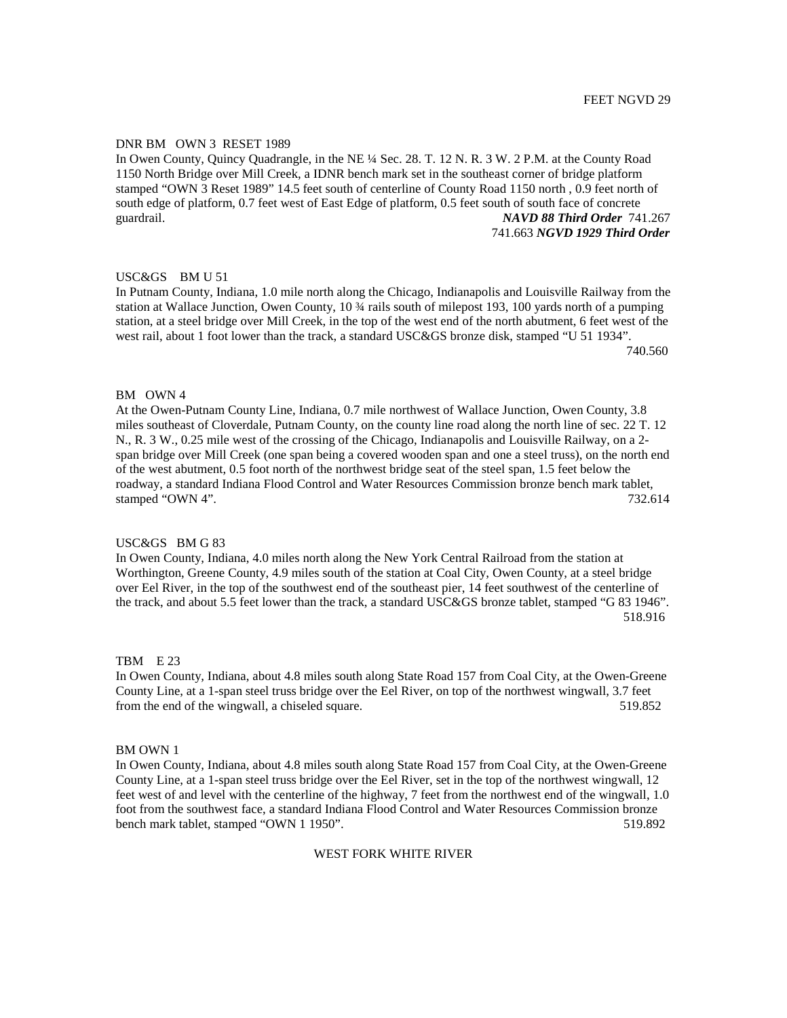# DNR BM OWN 3 RESET 1989

In Owen County, Quincy Quadrangle, in the NE ¼ Sec. 28. T. 12 N. R. 3 W. 2 P.M. at the County Road 1150 North Bridge over Mill Creek, a IDNR bench mark set in the southeast corner of bridge platform stamped "OWN 3 Reset 1989" 14.5 feet south of centerline of County Road 1150 north , 0.9 feet north of south edge of platform, 0.7 feet west of East Edge of platform, 0.5 feet south of south face of concrete guardrail. *NAVD 88 Third Order* 741.267

### 741.663 *NGVD 1929 Third Order*

### USC&GS BM U 51

In Putnam County, Indiana, 1.0 mile north along the Chicago, Indianapolis and Louisville Railway from the station at Wallace Junction, Owen County, 10 ¾ rails south of milepost 193, 100 yards north of a pumping station, at a steel bridge over Mill Creek, in the top of the west end of the north abutment, 6 feet west of the west rail, about 1 foot lower than the track, a standard USC&GS bronze disk, stamped "U 51 1934". 740.560

# BM OWN 4

At the Owen-Putnam County Line, Indiana, 0.7 mile northwest of Wallace Junction, Owen County, 3.8 miles southeast of Cloverdale, Putnam County, on the county line road along the north line of sec. 22 T. 12 N., R. 3 W., 0.25 mile west of the crossing of the Chicago, Indianapolis and Louisville Railway, on a 2 span bridge over Mill Creek (one span being a covered wooden span and one a steel truss), on the north end of the west abutment, 0.5 foot north of the northwest bridge seat of the steel span, 1.5 feet below the roadway, a standard Indiana Flood Control and Water Resources Commission bronze bench mark tablet, stamped "OWN 4". 732.614

### USC&GS BM G 83

In Owen County, Indiana, 4.0 miles north along the New York Central Railroad from the station at Worthington, Greene County, 4.9 miles south of the station at Coal City, Owen County, at a steel bridge over Eel River, in the top of the southwest end of the southeast pier, 14 feet southwest of the centerline of the track, and about 5.5 feet lower than the track, a standard USC&GS bronze tablet, stamped "G 83 1946". 518.916

## TBM E 23

In Owen County, Indiana, about 4.8 miles south along State Road 157 from Coal City, at the Owen-Greene County Line, at a 1-span steel truss bridge over the Eel River, on top of the northwest wingwall, 3.7 feet from the end of the wingwall, a chiseled square. 519.852

### BM OWN 1

In Owen County, Indiana, about 4.8 miles south along State Road 157 from Coal City, at the Owen-Greene County Line, at a 1-span steel truss bridge over the Eel River, set in the top of the northwest wingwall, 12 feet west of and level with the centerline of the highway, 7 feet from the northwest end of the wingwall, 1.0 foot from the southwest face, a standard Indiana Flood Control and Water Resources Commission bronze bench mark tablet, stamped "OWN 1 1950". 519.892

### WEST FORK WHITE RIVER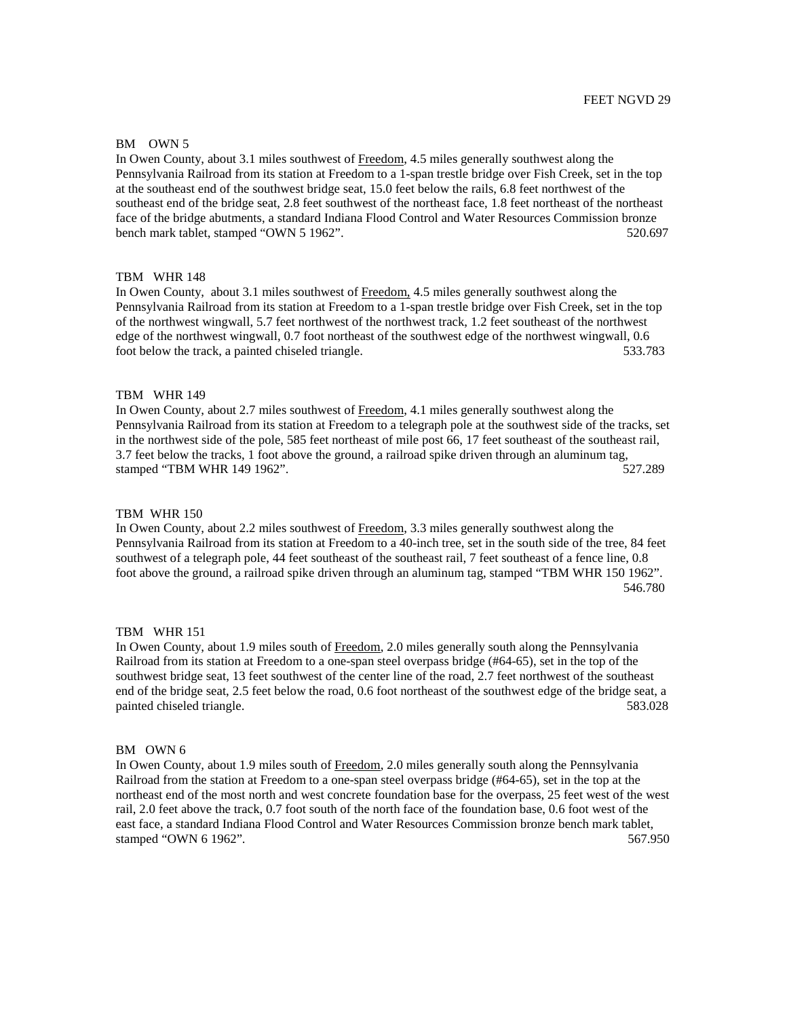# FEET NGVD 29

### BM OWN 5

In Owen County, about 3.1 miles southwest of Freedom, 4.5 miles generally southwest along the Pennsylvania Railroad from its station at Freedom to a 1-span trestle bridge over Fish Creek, set in the top at the southeast end of the southwest bridge seat, 15.0 feet below the rails, 6.8 feet northwest of the southeast end of the bridge seat, 2.8 feet southwest of the northeast face, 1.8 feet northeast of the northeast face of the bridge abutments, a standard Indiana Flood Control and Water Resources Commission bronze bench mark tablet, stamped "OWN 5 1962". 520.697

### TBM WHR 148

In Owen County, about 3.1 miles southwest of Freedom, 4.5 miles generally southwest along the Pennsylvania Railroad from its station at Freedom to a 1-span trestle bridge over Fish Creek, set in the top of the northwest wingwall, 5.7 feet northwest of the northwest track, 1.2 feet southeast of the northwest edge of the northwest wingwall, 0.7 foot northeast of the southwest edge of the northwest wingwall, 0.6 foot below the track, a painted chiseled triangle. 533.783

# TBM WHR 149

In Owen County, about 2.7 miles southwest of Freedom, 4.1 miles generally southwest along the Pennsylvania Railroad from its station at Freedom to a telegraph pole at the southwest side of the tracks, set in the northwest side of the pole, 585 feet northeast of mile post 66, 17 feet southeast of the southeast rail, 3.7 feet below the tracks, 1 foot above the ground, a railroad spike driven through an aluminum tag, stamped "TBM WHR 149 1962". 527.289

### TBM WHR 150

In Owen County, about 2.2 miles southwest of Freedom, 3.3 miles generally southwest along the Pennsylvania Railroad from its station at Freedom to a 40-inch tree, set in the south side of the tree, 84 feet southwest of a telegraph pole, 44 feet southeast of the southeast rail, 7 feet southeast of a fence line, 0.8 foot above the ground, a railroad spike driven through an aluminum tag, stamped "TBM WHR 150 1962". 546.780

### TBM WHR 151

In Owen County, about 1.9 miles south of Freedom, 2.0 miles generally south along the Pennsylvania Railroad from its station at Freedom to a one-span steel overpass bridge (#64-65), set in the top of the southwest bridge seat, 13 feet southwest of the center line of the road, 2.7 feet northwest of the southeast end of the bridge seat, 2.5 feet below the road, 0.6 foot northeast of the southwest edge of the bridge seat, a painted chiseled triangle. 583.028

### BM OWN 6

In Owen County, about 1.9 miles south of Freedom, 2.0 miles generally south along the Pennsylvania Railroad from the station at Freedom to a one-span steel overpass bridge (#64-65), set in the top at the northeast end of the most north and west concrete foundation base for the overpass, 25 feet west of the west rail, 2.0 feet above the track, 0.7 foot south of the north face of the foundation base, 0.6 foot west of the east face, a standard Indiana Flood Control and Water Resources Commission bronze bench mark tablet, stamped "OWN 6 1962". 567.950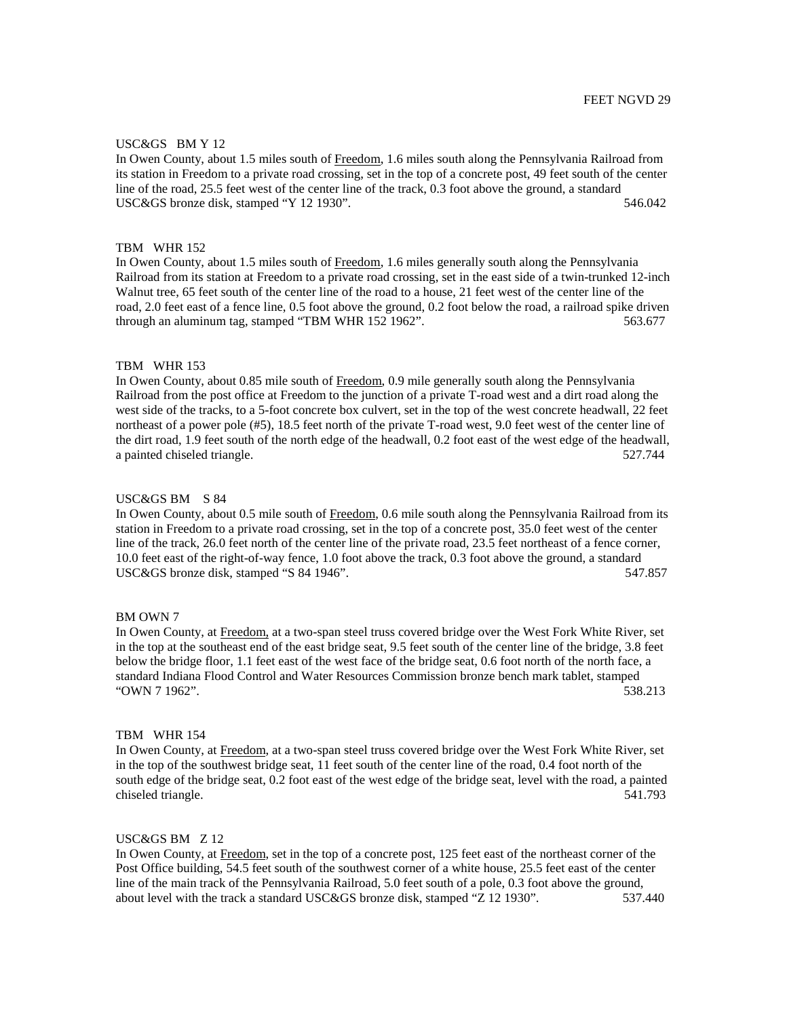#### USC&GS BM Y 12

In Owen County, about 1.5 miles south of Freedom, 1.6 miles south along the Pennsylvania Railroad from its station in Freedom to a private road crossing, set in the top of a concrete post, 49 feet south of the center line of the road, 25.5 feet west of the center line of the track, 0.3 foot above the ground, a standard USC&GS bronze disk, stamped "Y 12 1930". 546.042

#### TBM WHR 152

In Owen County, about 1.5 miles south of Freedom, 1.6 miles generally south along the Pennsylvania Railroad from its station at Freedom to a private road crossing, set in the east side of a twin-trunked 12-inch Walnut tree, 65 feet south of the center line of the road to a house, 21 feet west of the center line of the road, 2.0 feet east of a fence line, 0.5 foot above the ground, 0.2 foot below the road, a railroad spike driven through an aluminum tag, stamped "TBM WHR 152 1962". 563.677

#### TBM WHR 153

In Owen County, about 0.85 mile south of Freedom, 0.9 mile generally south along the Pennsylvania Railroad from the post office at Freedom to the junction of a private T-road west and a dirt road along the west side of the tracks, to a 5-foot concrete box culvert, set in the top of the west concrete headwall, 22 feet northeast of a power pole (#5), 18.5 feet north of the private T-road west, 9.0 feet west of the center line of the dirt road, 1.9 feet south of the north edge of the headwall, 0.2 foot east of the west edge of the headwall, a painted chiseled triangle. 527.744

### USC&GS BM S 84

In Owen County, about 0.5 mile south of Freedom, 0.6 mile south along the Pennsylvania Railroad from its station in Freedom to a private road crossing, set in the top of a concrete post, 35.0 feet west of the center line of the track, 26.0 feet north of the center line of the private road, 23.5 feet northeast of a fence corner, 10.0 feet east of the right-of-way fence, 1.0 foot above the track, 0.3 foot above the ground, a standard USC&GS bronze disk, stamped "S 84 1946". 547.857

### BM OWN 7

In Owen County, at Freedom, at a two-span steel truss covered bridge over the West Fork White River, set in the top at the southeast end of the east bridge seat, 9.5 feet south of the center line of the bridge, 3.8 feet below the bridge floor, 1.1 feet east of the west face of the bridge seat, 0.6 foot north of the north face, a standard Indiana Flood Control and Water Resources Commission bronze bench mark tablet, stamped "OWN 7 1962". 538.213

# TBM WHR 154

In Owen County, at Freedom, at a two-span steel truss covered bridge over the West Fork White River, set in the top of the southwest bridge seat, 11 feet south of the center line of the road, 0.4 foot north of the south edge of the bridge seat, 0.2 foot east of the west edge of the bridge seat, level with the road, a painted chiseled triangle. 541.793

# USC&GS BM Z 12

In Owen County, at Freedom, set in the top of a concrete post, 125 feet east of the northeast corner of the Post Office building, 54.5 feet south of the southwest corner of a white house, 25.5 feet east of the center line of the main track of the Pennsylvania Railroad, 5.0 feet south of a pole, 0.3 foot above the ground, about level with the track a standard USC&GS bronze disk, stamped "Z 12 1930". 537.440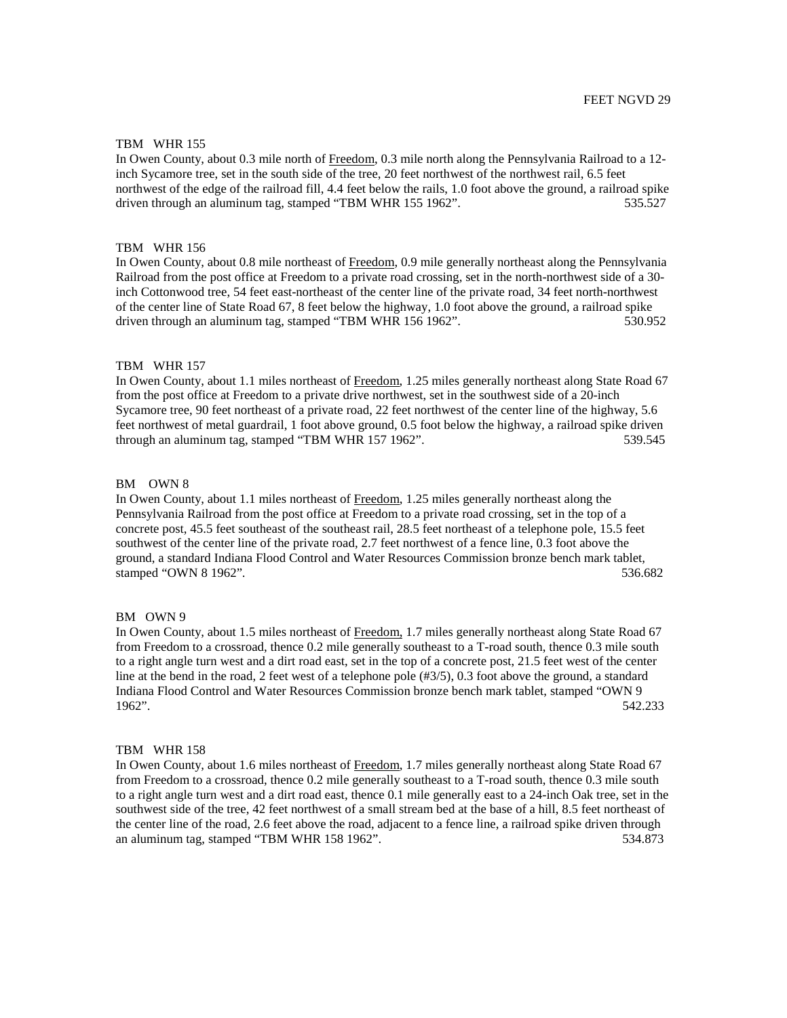# TBM WHR 155

In Owen County, about 0.3 mile north of Freedom, 0.3 mile north along the Pennsylvania Railroad to a 12 inch Sycamore tree, set in the south side of the tree, 20 feet northwest of the northwest rail, 6.5 feet northwest of the edge of the railroad fill, 4.4 feet below the rails, 1.0 foot above the ground, a railroad spike driven through an aluminum tag, stamped "TBM WHR 155 1962". 535.527

#### TBM WHR 156

In Owen County, about 0.8 mile northeast of Freedom, 0.9 mile generally northeast along the Pennsylvania Railroad from the post office at Freedom to a private road crossing, set in the north-northwest side of a 30 inch Cottonwood tree, 54 feet east-northeast of the center line of the private road, 34 feet north-northwest of the center line of State Road 67, 8 feet below the highway, 1.0 foot above the ground, a railroad spike driven through an aluminum tag, stamped "TBM WHR 156 1962". 530.952

#### TBM WHR 157

In Owen County, about 1.1 miles northeast of Freedom, 1.25 miles generally northeast along State Road 67 from the post office at Freedom to a private drive northwest, set in the southwest side of a 20-inch Sycamore tree, 90 feet northeast of a private road, 22 feet northwest of the center line of the highway, 5.6 feet northwest of metal guardrail, 1 foot above ground, 0.5 foot below the highway, a railroad spike driven through an aluminum tag, stamped "TBM WHR 157 1962". 539.545

#### BM OWN 8

In Owen County, about 1.1 miles northeast of Freedom, 1.25 miles generally northeast along the Pennsylvania Railroad from the post office at Freedom to a private road crossing, set in the top of a concrete post, 45.5 feet southeast of the southeast rail, 28.5 feet northeast of a telephone pole, 15.5 feet southwest of the center line of the private road, 2.7 feet northwest of a fence line, 0.3 foot above the ground, a standard Indiana Flood Control and Water Resources Commission bronze bench mark tablet, stamped "OWN 8 1962". 536.682

#### BM OWN 9

In Owen County, about 1.5 miles northeast of Freedom, 1.7 miles generally northeast along State Road 67 from Freedom to a crossroad, thence 0.2 mile generally southeast to a T-road south, thence 0.3 mile south to a right angle turn west and a dirt road east, set in the top of a concrete post, 21.5 feet west of the center line at the bend in the road, 2 feet west of a telephone pole (#3/5), 0.3 foot above the ground, a standard Indiana Flood Control and Water Resources Commission bronze bench mark tablet, stamped "OWN 9 1962". 542.233

### TBM WHR 158

In Owen County, about 1.6 miles northeast of Freedom, 1.7 miles generally northeast along State Road 67 from Freedom to a crossroad, thence 0.2 mile generally southeast to a T-road south, thence 0.3 mile south to a right angle turn west and a dirt road east, thence 0.1 mile generally east to a 24-inch Oak tree, set in the southwest side of the tree, 42 feet northwest of a small stream bed at the base of a hill, 8.5 feet northeast of the center line of the road, 2.6 feet above the road, adjacent to a fence line, a railroad spike driven through an aluminum tag, stamped "TBM WHR 158 1962". 534.873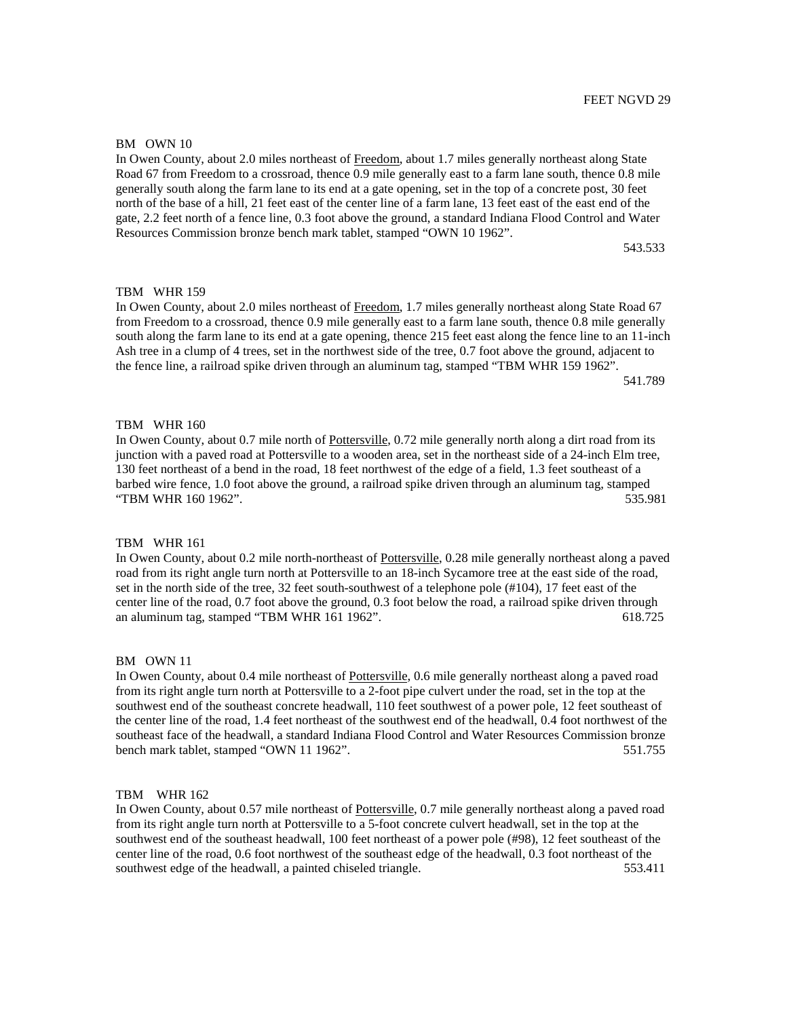### BM OWN 10

In Owen County, about 2.0 miles northeast of Freedom, about 1.7 miles generally northeast along State Road 67 from Freedom to a crossroad, thence 0.9 mile generally east to a farm lane south, thence 0.8 mile generally south along the farm lane to its end at a gate opening, set in the top of a concrete post, 30 feet north of the base of a hill, 21 feet east of the center line of a farm lane, 13 feet east of the east end of the gate, 2.2 feet north of a fence line, 0.3 foot above the ground, a standard Indiana Flood Control and Water Resources Commission bronze bench mark tablet, stamped "OWN 10 1962".

543.533

# TBM WHR 159

In Owen County, about 2.0 miles northeast of Freedom, 1.7 miles generally northeast along State Road 67 from Freedom to a crossroad, thence 0.9 mile generally east to a farm lane south, thence 0.8 mile generally south along the farm lane to its end at a gate opening, thence 215 feet east along the fence line to an 11-inch Ash tree in a clump of 4 trees, set in the northwest side of the tree, 0.7 foot above the ground, adjacent to the fence line, a railroad spike driven through an aluminum tag, stamped "TBM WHR 159 1962". 541.789

# TBM WHR 160

In Owen County, about 0.7 mile north of Pottersville, 0.72 mile generally north along a dirt road from its junction with a paved road at Pottersville to a wooden area, set in the northeast side of a 24-inch Elm tree, 130 feet northeast of a bend in the road, 18 feet northwest of the edge of a field, 1.3 feet southeast of a barbed wire fence, 1.0 foot above the ground, a railroad spike driven through an aluminum tag, stamped "TBM WHR 160 1962". 535.981

# TBM WHR 161

In Owen County, about 0.2 mile north-northeast of Pottersville, 0.28 mile generally northeast along a paved road from its right angle turn north at Pottersville to an 18-inch Sycamore tree at the east side of the road, set in the north side of the tree, 32 feet south-southwest of a telephone pole (#104), 17 feet east of the center line of the road, 0.7 foot above the ground, 0.3 foot below the road, a railroad spike driven through an aluminum tag, stamped "TBM WHR 161 1962". 618.725

### BM OWN 11

In Owen County, about 0.4 mile northeast of Pottersville, 0.6 mile generally northeast along a paved road from its right angle turn north at Pottersville to a 2-foot pipe culvert under the road, set in the top at the southwest end of the southeast concrete headwall, 110 feet southwest of a power pole, 12 feet southeast of the center line of the road, 1.4 feet northeast of the southwest end of the headwall, 0.4 foot northwest of the southeast face of the headwall, a standard Indiana Flood Control and Water Resources Commission bronze bench mark tablet, stamped "OWN 11 1962". 551.755

# TBM WHR 162

In Owen County, about 0.57 mile northeast of Pottersville, 0.7 mile generally northeast along a paved road from its right angle turn north at Pottersville to a 5-foot concrete culvert headwall, set in the top at the southwest end of the southeast headwall, 100 feet northeast of a power pole (#98), 12 feet southeast of the center line of the road, 0.6 foot northwest of the southeast edge of the headwall, 0.3 foot northeast of the southwest edge of the headwall, a painted chiseled triangle. 553.411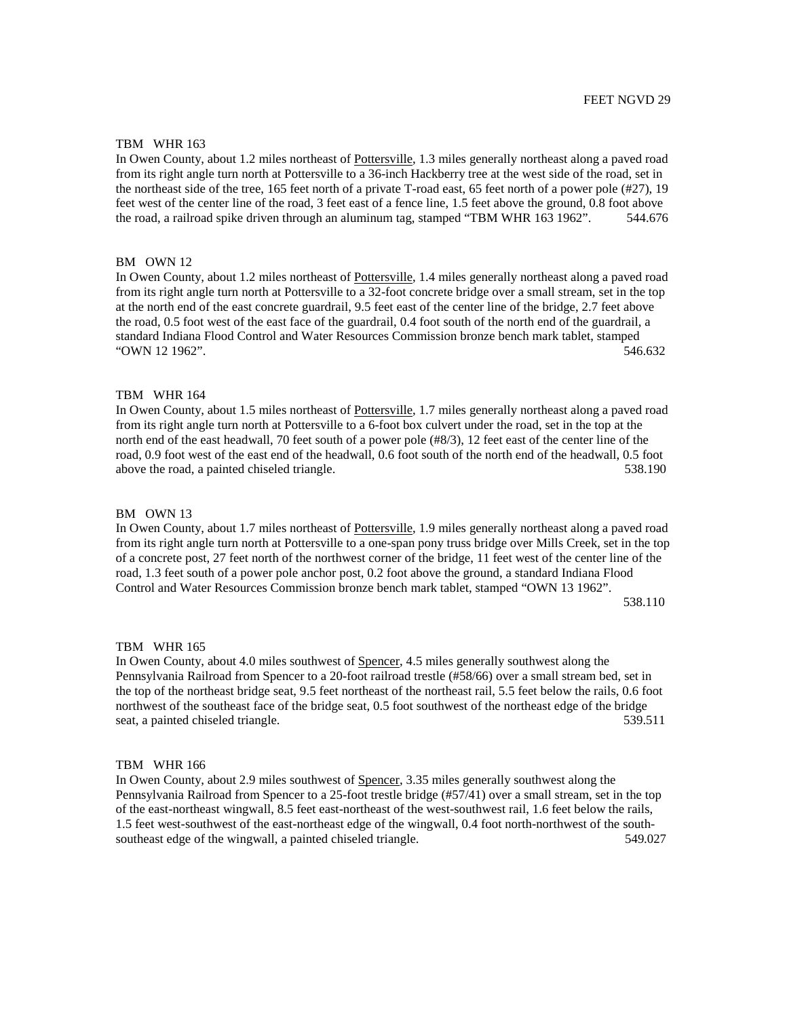#### TBM WHR 163

In Owen County, about 1.2 miles northeast of Pottersville, 1.3 miles generally northeast along a paved road from its right angle turn north at Pottersville to a 36-inch Hackberry tree at the west side of the road, set in the northeast side of the tree, 165 feet north of a private T-road east, 65 feet north of a power pole (#27), 19 feet west of the center line of the road, 3 feet east of a fence line, 1.5 feet above the ground, 0.8 foot above the road, a railroad spike driven through an aluminum tag, stamped "TBM WHR 163 1962". 544.676

# BM OWN 12

In Owen County, about 1.2 miles northeast of Pottersville, 1.4 miles generally northeast along a paved road from its right angle turn north at Pottersville to a 32-foot concrete bridge over a small stream, set in the top at the north end of the east concrete guardrail, 9.5 feet east of the center line of the bridge, 2.7 feet above the road, 0.5 foot west of the east face of the guardrail, 0.4 foot south of the north end of the guardrail, a standard Indiana Flood Control and Water Resources Commission bronze bench mark tablet, stamped "OWN 12 1962". 546.632

# TBM WHR 164

In Owen County, about 1.5 miles northeast of Pottersville, 1.7 miles generally northeast along a paved road from its right angle turn north at Pottersville to a 6-foot box culvert under the road, set in the top at the north end of the east headwall, 70 feet south of a power pole (#8/3), 12 feet east of the center line of the road, 0.9 foot west of the east end of the headwall, 0.6 foot south of the north end of the headwall, 0.5 foot above the road, a painted chiseled triangle. 638.190

### BM OWN 13

In Owen County, about 1.7 miles northeast of Pottersville, 1.9 miles generally northeast along a paved road from its right angle turn north at Pottersville to a one-span pony truss bridge over Mills Creek, set in the top of a concrete post, 27 feet north of the northwest corner of the bridge, 11 feet west of the center line of the road, 1.3 feet south of a power pole anchor post, 0.2 foot above the ground, a standard Indiana Flood Control and Water Resources Commission bronze bench mark tablet, stamped "OWN 13 1962". 538.110

#### TBM WHR 165

In Owen County, about 4.0 miles southwest of Spencer, 4.5 miles generally southwest along the Pennsylvania Railroad from Spencer to a 20-foot railroad trestle (#58/66) over a small stream bed, set in the top of the northeast bridge seat, 9.5 feet northeast of the northeast rail, 5.5 feet below the rails, 0.6 foot northwest of the southeast face of the bridge seat, 0.5 foot southwest of the northeast edge of the bridge seat, a painted chiseled triangle. 539.511

### TBM WHR 166

In Owen County, about 2.9 miles southwest of Spencer, 3.35 miles generally southwest along the Pennsylvania Railroad from Spencer to a 25-foot trestle bridge (#57/41) over a small stream, set in the top of the east-northeast wingwall, 8.5 feet east-northeast of the west-southwest rail, 1.6 feet below the rails, 1.5 feet west-southwest of the east-northeast edge of the wingwall, 0.4 foot north-northwest of the southsoutheast edge of the wingwall, a painted chiseled triangle. 549.027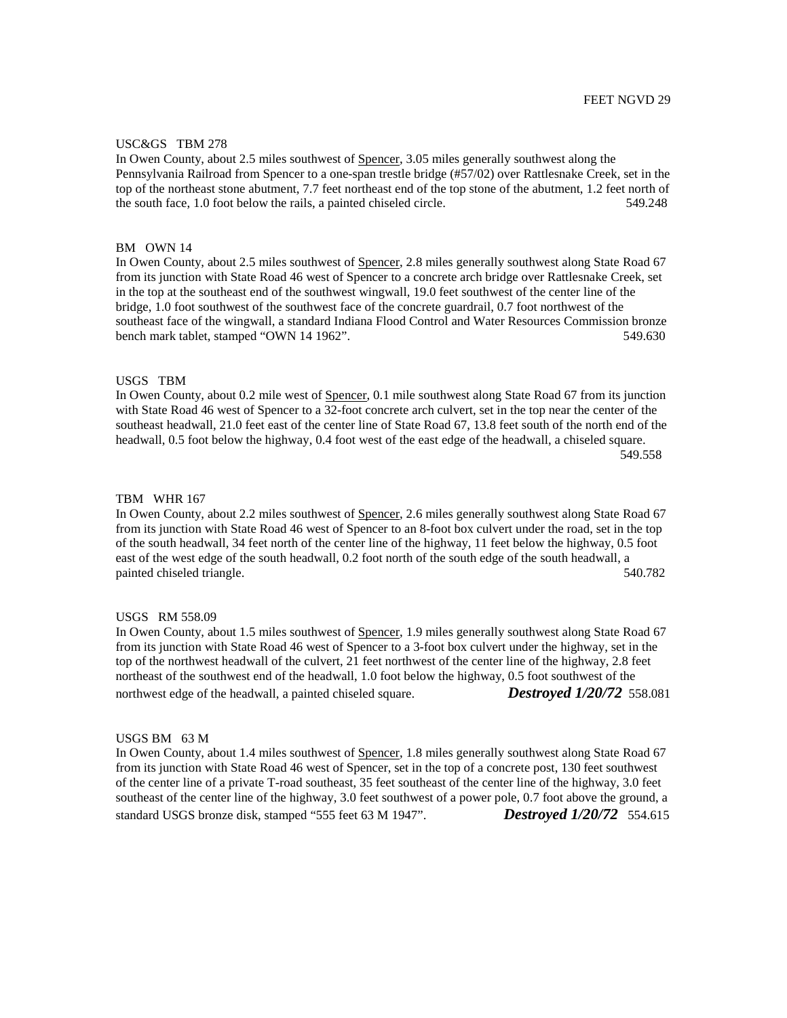### USC&GS TBM 278

In Owen County, about 2.5 miles southwest of Spencer, 3.05 miles generally southwest along the Pennsylvania Railroad from Spencer to a one-span trestle bridge (#57/02) over Rattlesnake Creek, set in the top of the northeast stone abutment, 7.7 feet northeast end of the top stone of the abutment, 1.2 feet north of the south face, 1.0 foot below the rails, a painted chiseled circle. 549.248

#### BM OWN 14

In Owen County, about 2.5 miles southwest of Spencer, 2.8 miles generally southwest along State Road 67 from its junction with State Road 46 west of Spencer to a concrete arch bridge over Rattlesnake Creek, set in the top at the southeast end of the southwest wingwall, 19.0 feet southwest of the center line of the bridge, 1.0 foot southwest of the southwest face of the concrete guardrail, 0.7 foot northwest of the southeast face of the wingwall, a standard Indiana Flood Control and Water Resources Commission bronze bench mark tablet, stamped "OWN 14 1962".  $549.630$ 

# USGS TBM

In Owen County, about 0.2 mile west of Spencer, 0.1 mile southwest along State Road 67 from its junction with State Road 46 west of Spencer to a 32-foot concrete arch culvert, set in the top near the center of the southeast headwall, 21.0 feet east of the center line of State Road 67, 13.8 feet south of the north end of the headwall, 0.5 foot below the highway, 0.4 foot west of the east edge of the headwall, a chiseled square. 549.558

# TBM WHR 167

In Owen County, about 2.2 miles southwest of Spencer, 2.6 miles generally southwest along State Road 67 from its junction with State Road 46 west of Spencer to an 8-foot box culvert under the road, set in the top of the south headwall, 34 feet north of the center line of the highway, 11 feet below the highway, 0.5 foot east of the west edge of the south headwall, 0.2 foot north of the south edge of the south headwall, a painted chiseled triangle. 540.782

### USGS RM 558.09

In Owen County, about 1.5 miles southwest of Spencer, 1.9 miles generally southwest along State Road 67 from its junction with State Road 46 west of Spencer to a 3-foot box culvert under the highway, set in the top of the northwest headwall of the culvert, 21 feet northwest of the center line of the highway, 2.8 feet northeast of the southwest end of the headwall, 1.0 foot below the highway, 0.5 foot southwest of the northwest edge of the headwall, a painted chiseled square. *Destroyed 1/20/72* 558.081

# USGS BM 63 M

In Owen County, about 1.4 miles southwest of Spencer, 1.8 miles generally southwest along State Road 67 from its junction with State Road 46 west of Spencer, set in the top of a concrete post, 130 feet southwest of the center line of a private T-road southeast, 35 feet southeast of the center line of the highway, 3.0 feet southeast of the center line of the highway, 3.0 feet southwest of a power pole, 0.7 foot above the ground, a standard USGS bronze disk, stamped "555 feet 63 M 1947". *Destroyed 1/20/72* 554.615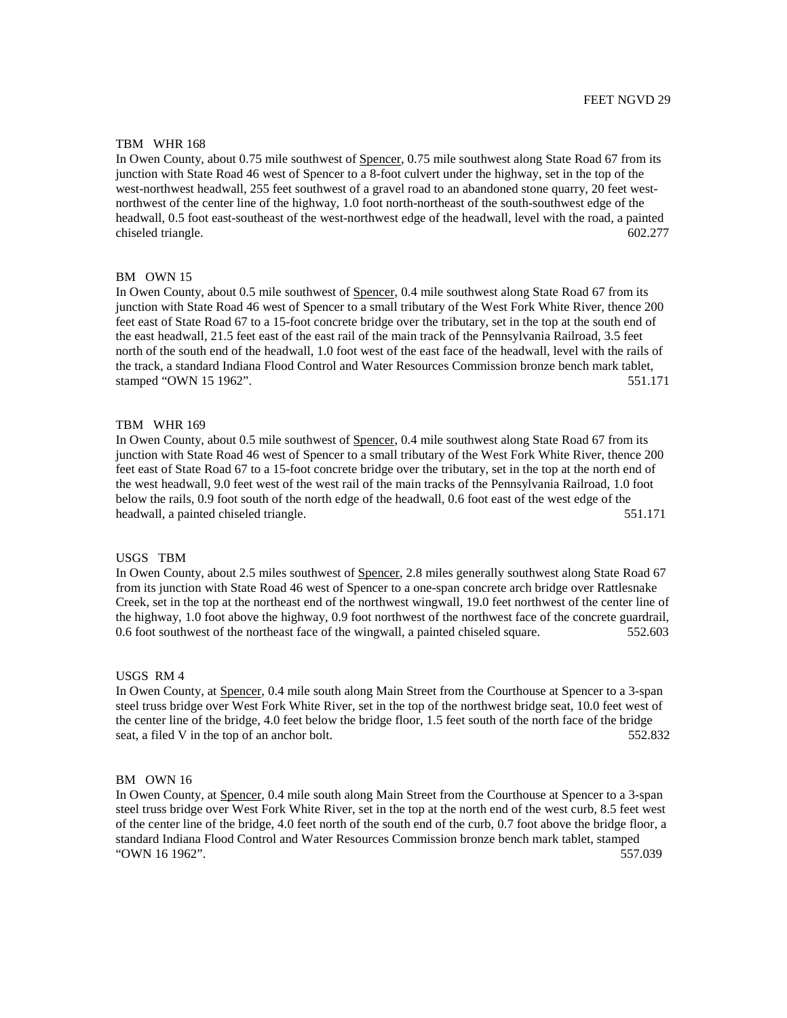#### TBM WHR 168

In Owen County, about 0.75 mile southwest of Spencer, 0.75 mile southwest along State Road 67 from its junction with State Road 46 west of Spencer to a 8-foot culvert under the highway, set in the top of the west-northwest headwall, 255 feet southwest of a gravel road to an abandoned stone quarry, 20 feet westnorthwest of the center line of the highway, 1.0 foot north-northeast of the south-southwest edge of the headwall, 0.5 foot east-southeast of the west-northwest edge of the headwall, level with the road, a painted chiseled triangle. 602.277

#### BM OWN 15

In Owen County, about 0.5 mile southwest of Spencer, 0.4 mile southwest along State Road 67 from its junction with State Road 46 west of Spencer to a small tributary of the West Fork White River, thence 200 feet east of State Road 67 to a 15-foot concrete bridge over the tributary, set in the top at the south end of the east headwall, 21.5 feet east of the east rail of the main track of the Pennsylvania Railroad, 3.5 feet north of the south end of the headwall, 1.0 foot west of the east face of the headwall, level with the rails of the track, a standard Indiana Flood Control and Water Resources Commission bronze bench mark tablet, stamped "OWN 15 1962". 551.171

## TBM WHR 169

In Owen County, about 0.5 mile southwest of Spencer, 0.4 mile southwest along State Road 67 from its junction with State Road 46 west of Spencer to a small tributary of the West Fork White River, thence 200 feet east of State Road 67 to a 15-foot concrete bridge over the tributary, set in the top at the north end of the west headwall, 9.0 feet west of the west rail of the main tracks of the Pennsylvania Railroad, 1.0 foot below the rails, 0.9 foot south of the north edge of the headwall, 0.6 foot east of the west edge of the headwall, a painted chiseled triangle. 551.171

# USGS TBM

In Owen County, about 2.5 miles southwest of Spencer, 2.8 miles generally southwest along State Road 67 from its junction with State Road 46 west of Spencer to a one-span concrete arch bridge over Rattlesnake Creek, set in the top at the northeast end of the northwest wingwall, 19.0 feet northwest of the center line of the highway, 1.0 foot above the highway, 0.9 foot northwest of the northwest face of the concrete guardrail, 0.6 foot southwest of the northeast face of the wingwall, a painted chiseled square. 552.603

#### USGS RM 4

In Owen County, at Spencer, 0.4 mile south along Main Street from the Courthouse at Spencer to a 3-span steel truss bridge over West Fork White River, set in the top of the northwest bridge seat, 10.0 feet west of the center line of the bridge, 4.0 feet below the bridge floor, 1.5 feet south of the north face of the bridge seat, a filed V in the top of an anchor bolt. 552.832

# BM OWN 16

In Owen County, at Spencer, 0.4 mile south along Main Street from the Courthouse at Spencer to a 3-span steel truss bridge over West Fork White River, set in the top at the north end of the west curb, 8.5 feet west of the center line of the bridge, 4.0 feet north of the south end of the curb, 0.7 foot above the bridge floor, a standard Indiana Flood Control and Water Resources Commission bronze bench mark tablet, stamped "OWN 16 1962". 557.039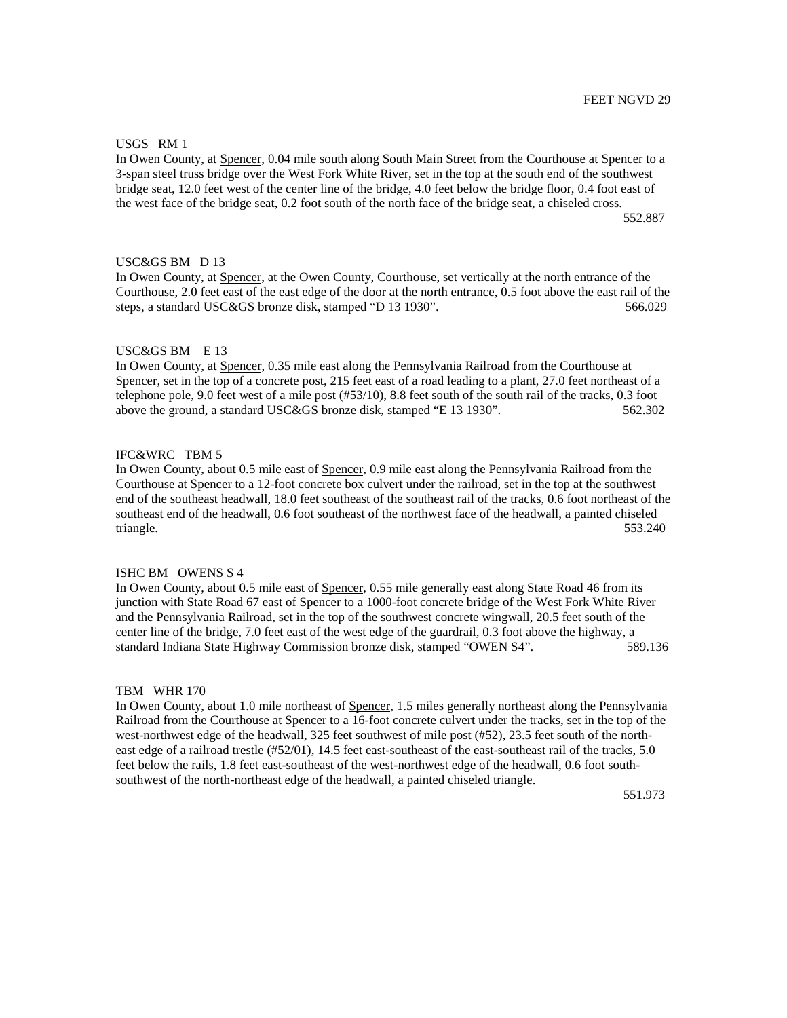### USGS RM 1

In Owen County, at Spencer, 0.04 mile south along South Main Street from the Courthouse at Spencer to a 3-span steel truss bridge over the West Fork White River, set in the top at the south end of the southwest bridge seat, 12.0 feet west of the center line of the bridge, 4.0 feet below the bridge floor, 0.4 foot east of the west face of the bridge seat, 0.2 foot south of the north face of the bridge seat, a chiseled cross.

552.887

# USC&GS BM D 13

In Owen County, at Spencer, at the Owen County, Courthouse, set vertically at the north entrance of the Courthouse, 2.0 feet east of the east edge of the door at the north entrance, 0.5 foot above the east rail of the steps, a standard USC&GS bronze disk, stamped "D 13 1930". 566.029

#### USC&GS BM E 13

In Owen County, at Spencer, 0.35 mile east along the Pennsylvania Railroad from the Courthouse at Spencer, set in the top of a concrete post, 215 feet east of a road leading to a plant, 27.0 feet northeast of a telephone pole, 9.0 feet west of a mile post (#53/10), 8.8 feet south of the south rail of the tracks, 0.3 foot above the ground, a standard USC&GS bronze disk, stamped "E 13 1930". 562.302

# IFC&WRC TBM 5

In Owen County, about 0.5 mile east of Spencer, 0.9 mile east along the Pennsylvania Railroad from the Courthouse at Spencer to a 12-foot concrete box culvert under the railroad, set in the top at the southwest end of the southeast headwall, 18.0 feet southeast of the southeast rail of the tracks, 0.6 foot northeast of the southeast end of the headwall, 0.6 foot southeast of the northwest face of the headwall, a painted chiseled triangle. 553.240

# ISHC BM OWENS S 4

In Owen County, about 0.5 mile east of Spencer, 0.55 mile generally east along State Road 46 from its junction with State Road 67 east of Spencer to a 1000-foot concrete bridge of the West Fork White River and the Pennsylvania Railroad, set in the top of the southwest concrete wingwall, 20.5 feet south of the center line of the bridge, 7.0 feet east of the west edge of the guardrail, 0.3 foot above the highway, a standard Indiana State Highway Commission bronze disk, stamped "OWEN S4". 589.136

#### TBM WHR 170

In Owen County, about 1.0 mile northeast of Spencer, 1.5 miles generally northeast along the Pennsylvania Railroad from the Courthouse at Spencer to a 16-foot concrete culvert under the tracks, set in the top of the west-northwest edge of the headwall, 325 feet southwest of mile post (#52), 23.5 feet south of the northeast edge of a railroad trestle (#52/01), 14.5 feet east-southeast of the east-southeast rail of the tracks, 5.0 feet below the rails, 1.8 feet east-southeast of the west-northwest edge of the headwall, 0.6 foot southsouthwest of the north-northeast edge of the headwall, a painted chiseled triangle.

551.973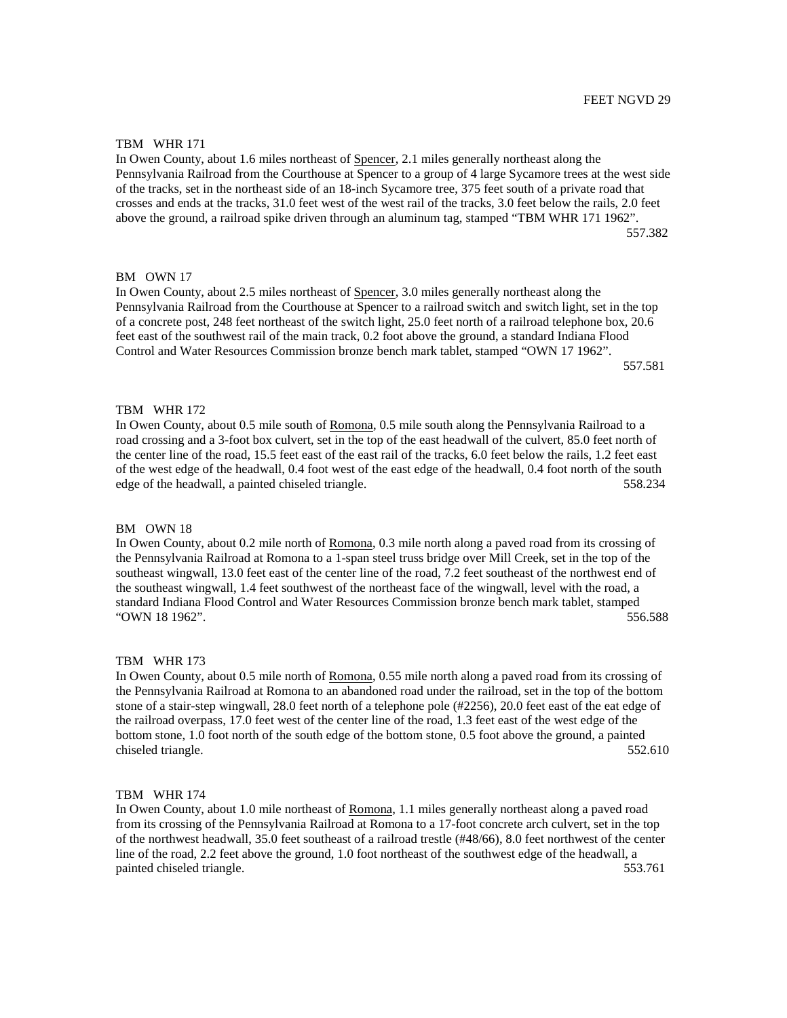# FEET NGVD 29

#### TBM WHR 171

In Owen County, about 1.6 miles northeast of Spencer, 2.1 miles generally northeast along the Pennsylvania Railroad from the Courthouse at Spencer to a group of 4 large Sycamore trees at the west side of the tracks, set in the northeast side of an 18-inch Sycamore tree, 375 feet south of a private road that crosses and ends at the tracks, 31.0 feet west of the west rail of the tracks, 3.0 feet below the rails, 2.0 feet above the ground, a railroad spike driven through an aluminum tag, stamped "TBM WHR 171 1962". 557.382

### BM OWN 17

In Owen County, about 2.5 miles northeast of Spencer, 3.0 miles generally northeast along the Pennsylvania Railroad from the Courthouse at Spencer to a railroad switch and switch light, set in the top of a concrete post, 248 feet northeast of the switch light, 25.0 feet north of a railroad telephone box, 20.6 feet east of the southwest rail of the main track, 0.2 foot above the ground, a standard Indiana Flood Control and Water Resources Commission bronze bench mark tablet, stamped "OWN 17 1962". 557.581

### TBM WHR 172

In Owen County, about 0.5 mile south of Romona, 0.5 mile south along the Pennsylvania Railroad to a road crossing and a 3-foot box culvert, set in the top of the east headwall of the culvert, 85.0 feet north of the center line of the road, 15.5 feet east of the east rail of the tracks, 6.0 feet below the rails, 1.2 feet east of the west edge of the headwall, 0.4 foot west of the east edge of the headwall, 0.4 foot north of the south edge of the headwall, a painted chiseled triangle. 558.234

#### BM OWN 18

In Owen County, about 0.2 mile north of Romona, 0.3 mile north along a paved road from its crossing of the Pennsylvania Railroad at Romona to a 1-span steel truss bridge over Mill Creek, set in the top of the southeast wingwall, 13.0 feet east of the center line of the road, 7.2 feet southeast of the northwest end of the southeast wingwall, 1.4 feet southwest of the northeast face of the wingwall, level with the road, a standard Indiana Flood Control and Water Resources Commission bronze bench mark tablet, stamped "OWN 18 1962". 556.588

### TBM WHR 173

In Owen County, about 0.5 mile north of Romona, 0.55 mile north along a paved road from its crossing of the Pennsylvania Railroad at Romona to an abandoned road under the railroad, set in the top of the bottom stone of a stair-step wingwall, 28.0 feet north of a telephone pole (#2256), 20.0 feet east of the eat edge of the railroad overpass, 17.0 feet west of the center line of the road, 1.3 feet east of the west edge of the bottom stone, 1.0 foot north of the south edge of the bottom stone, 0.5 foot above the ground, a painted chiseled triangle. 552.610

#### TBM WHR 174

In Owen County, about 1.0 mile northeast of Romona, 1.1 miles generally northeast along a paved road from its crossing of the Pennsylvania Railroad at Romona to a 17-foot concrete arch culvert, set in the top of the northwest headwall, 35.0 feet southeast of a railroad trestle (#48/66), 8.0 feet northwest of the center line of the road, 2.2 feet above the ground, 1.0 foot northeast of the southwest edge of the headwall, a painted chiseled triangle. 553.761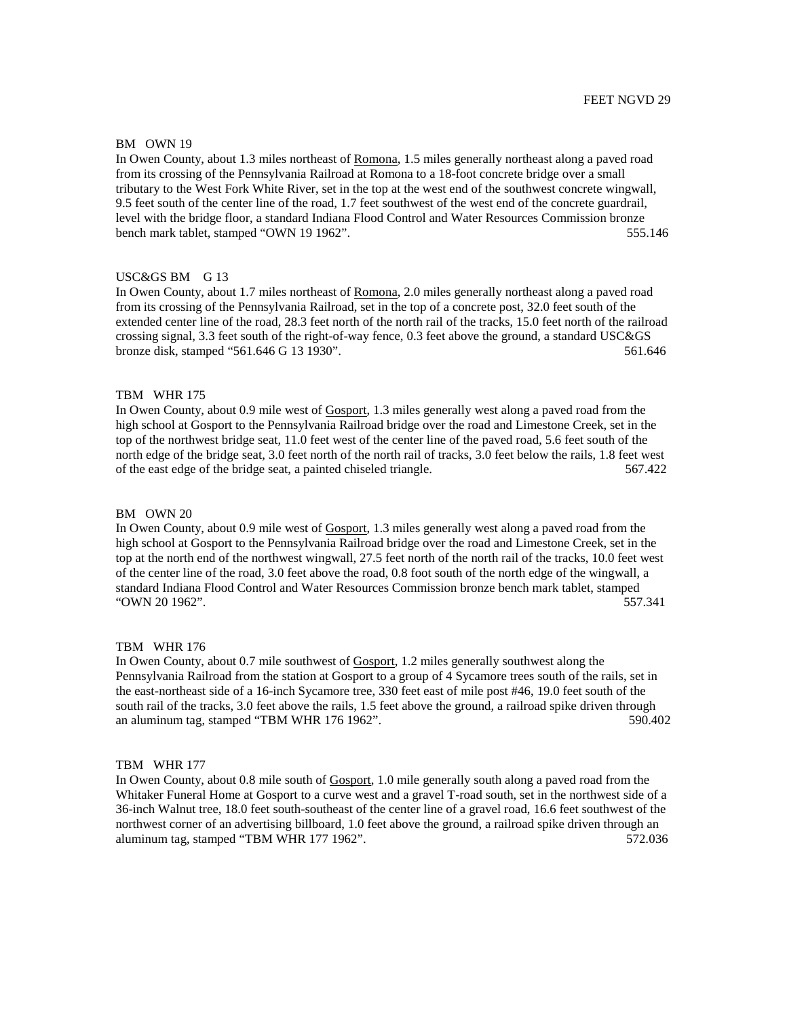# BM OWN 19

In Owen County, about 1.3 miles northeast of Romona, 1.5 miles generally northeast along a paved road from its crossing of the Pennsylvania Railroad at Romona to a 18-foot concrete bridge over a small tributary to the West Fork White River, set in the top at the west end of the southwest concrete wingwall, 9.5 feet south of the center line of the road, 1.7 feet southwest of the west end of the concrete guardrail, level with the bridge floor, a standard Indiana Flood Control and Water Resources Commission bronze bench mark tablet, stamped "OWN 19 1962". 555.146

# USC&GS BM G 13

In Owen County, about 1.7 miles northeast of Romona, 2.0 miles generally northeast along a paved road from its crossing of the Pennsylvania Railroad, set in the top of a concrete post, 32.0 feet south of the extended center line of the road, 28.3 feet north of the north rail of the tracks, 15.0 feet north of the railroad crossing signal, 3.3 feet south of the right-of-way fence, 0.3 feet above the ground, a standard USC&GS bronze disk, stamped "561.646 G 13 1930". 561.646

# TBM WHR 175

In Owen County, about 0.9 mile west of Gosport, 1.3 miles generally west along a paved road from the high school at Gosport to the Pennsylvania Railroad bridge over the road and Limestone Creek, set in the top of the northwest bridge seat, 11.0 feet west of the center line of the paved road, 5.6 feet south of the north edge of the bridge seat, 3.0 feet north of the north rail of tracks, 3.0 feet below the rails, 1.8 feet west of the east edge of the bridge seat, a painted chiseled triangle. 567.422

#### BM OWN 20

In Owen County, about 0.9 mile west of Gosport, 1.3 miles generally west along a paved road from the high school at Gosport to the Pennsylvania Railroad bridge over the road and Limestone Creek, set in the top at the north end of the northwest wingwall, 27.5 feet north of the north rail of the tracks, 10.0 feet west of the center line of the road, 3.0 feet above the road, 0.8 foot south of the north edge of the wingwall, a standard Indiana Flood Control and Water Resources Commission bronze bench mark tablet, stamped "OWN 20 1962". 557.341

### TBM WHR 176

In Owen County, about 0.7 mile southwest of Gosport, 1.2 miles generally southwest along the Pennsylvania Railroad from the station at Gosport to a group of 4 Sycamore trees south of the rails, set in the east-northeast side of a 16-inch Sycamore tree, 330 feet east of mile post #46, 19.0 feet south of the south rail of the tracks, 3.0 feet above the rails, 1.5 feet above the ground, a railroad spike driven through an aluminum tag, stamped "TBM WHR 176 1962". 590.402

### TBM WHR 177

In Owen County, about 0.8 mile south of Gosport, 1.0 mile generally south along a paved road from the Whitaker Funeral Home at Gosport to a curve west and a gravel T-road south, set in the northwest side of a 36-inch Walnut tree, 18.0 feet south-southeast of the center line of a gravel road, 16.6 feet southwest of the northwest corner of an advertising billboard, 1.0 feet above the ground, a railroad spike driven through an aluminum tag, stamped "TBM WHR 177 1962". 572.036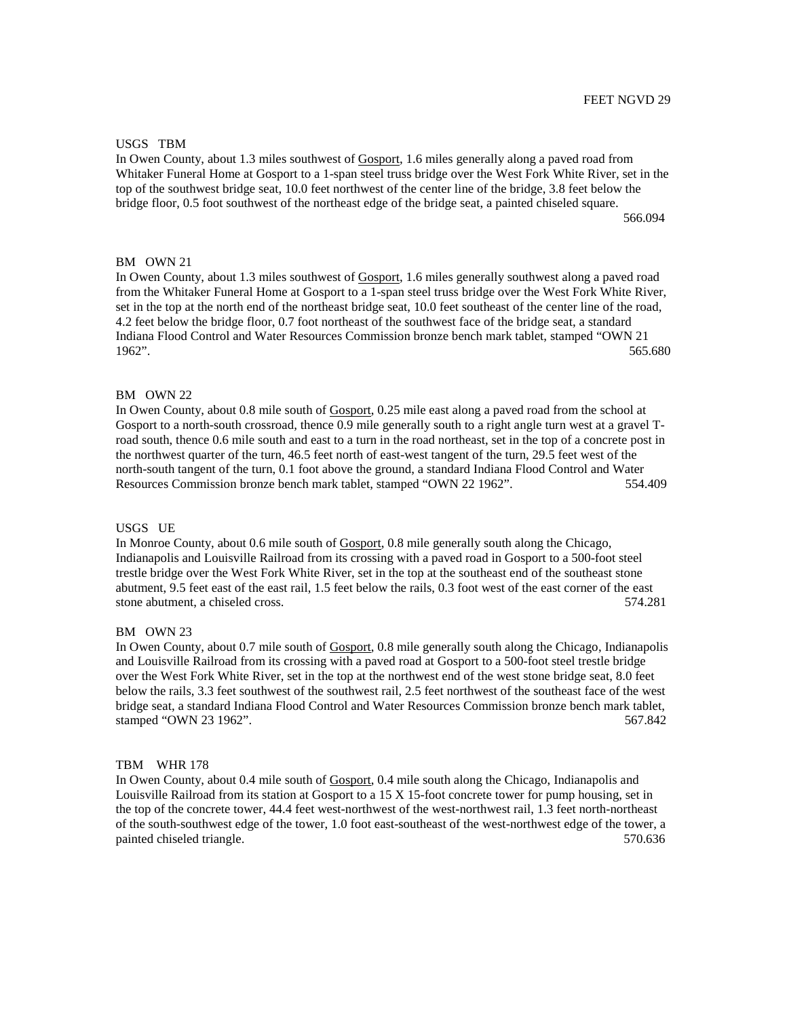# USGS TBM

In Owen County, about 1.3 miles southwest of Gosport, 1.6 miles generally along a paved road from Whitaker Funeral Home at Gosport to a 1-span steel truss bridge over the West Fork White River, set in the top of the southwest bridge seat, 10.0 feet northwest of the center line of the bridge, 3.8 feet below the bridge floor, 0.5 foot southwest of the northeast edge of the bridge seat, a painted chiseled square. 566.094

# BM OWN 21

In Owen County, about 1.3 miles southwest of Gosport, 1.6 miles generally southwest along a paved road from the Whitaker Funeral Home at Gosport to a 1-span steel truss bridge over the West Fork White River, set in the top at the north end of the northeast bridge seat, 10.0 feet southeast of the center line of the road, 4.2 feet below the bridge floor, 0.7 foot northeast of the southwest face of the bridge seat, a standard Indiana Flood Control and Water Resources Commission bronze bench mark tablet, stamped "OWN 21 1962". 565.680

# BM OWN 22

In Owen County, about 0.8 mile south of Gosport, 0.25 mile east along a paved road from the school at Gosport to a north-south crossroad, thence 0.9 mile generally south to a right angle turn west at a gravel Troad south, thence 0.6 mile south and east to a turn in the road northeast, set in the top of a concrete post in the northwest quarter of the turn, 46.5 feet north of east-west tangent of the turn, 29.5 feet west of the north-south tangent of the turn, 0.1 foot above the ground, a standard Indiana Flood Control and Water Resources Commission bronze bench mark tablet, stamped "OWN 22 1962". 554.409

### USGS UE

In Monroe County, about 0.6 mile south of Gosport, 0.8 mile generally south along the Chicago, Indianapolis and Louisville Railroad from its crossing with a paved road in Gosport to a 500-foot steel trestle bridge over the West Fork White River, set in the top at the southeast end of the southeast stone abutment, 9.5 feet east of the east rail, 1.5 feet below the rails, 0.3 foot west of the east corner of the east stone abutment, a chiseled cross. 574.281

#### BM OWN 23

In Owen County, about 0.7 mile south of Gosport, 0.8 mile generally south along the Chicago, Indianapolis and Louisville Railroad from its crossing with a paved road at Gosport to a 500-foot steel trestle bridge over the West Fork White River, set in the top at the northwest end of the west stone bridge seat, 8.0 feet below the rails, 3.3 feet southwest of the southwest rail, 2.5 feet northwest of the southeast face of the west bridge seat, a standard Indiana Flood Control and Water Resources Commission bronze bench mark tablet, stamped "OWN 23 1962". 567.842

### TBM WHR 178

In Owen County, about 0.4 mile south of Gosport, 0.4 mile south along the Chicago, Indianapolis and Louisville Railroad from its station at Gosport to a 15 X 15-foot concrete tower for pump housing, set in the top of the concrete tower, 44.4 feet west-northwest of the west-northwest rail, 1.3 feet north-northeast of the south-southwest edge of the tower, 1.0 foot east-southeast of the west-northwest edge of the tower, a painted chiseled triangle. 570.636